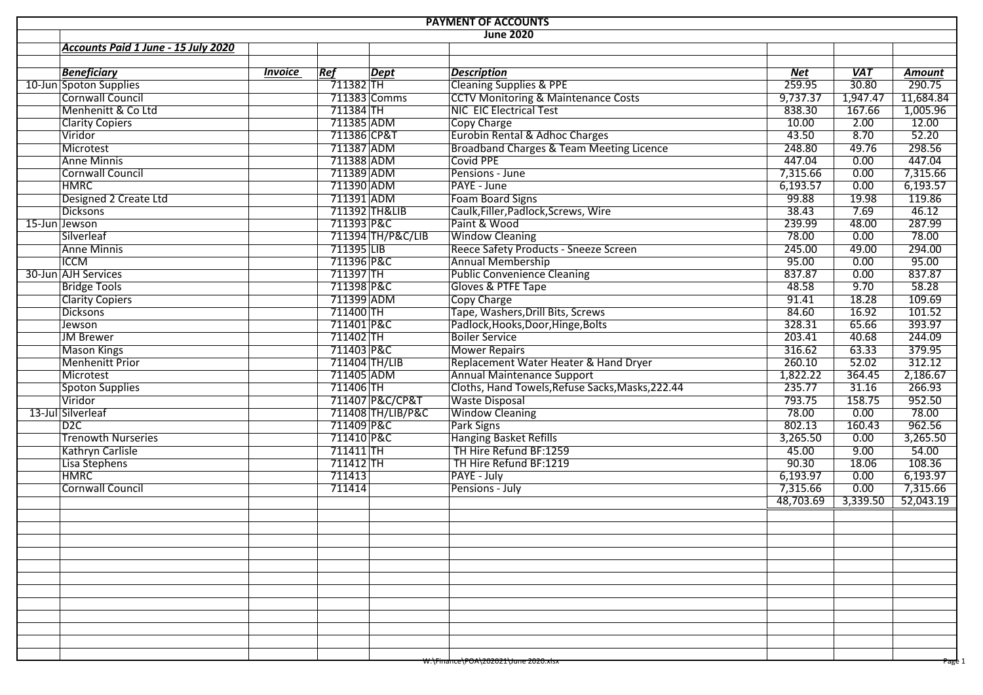| <b>PAYMENT OF ACCOUNTS</b> |                                     |                |               |                   |                                                  |           |                   |               |  |  |
|----------------------------|-------------------------------------|----------------|---------------|-------------------|--------------------------------------------------|-----------|-------------------|---------------|--|--|
|                            |                                     |                |               |                   | <b>June 2020</b>                                 |           |                   |               |  |  |
|                            | Accounts Paid 1 June - 15 July 2020 |                |               |                   |                                                  |           |                   |               |  |  |
|                            |                                     |                |               |                   |                                                  |           |                   |               |  |  |
|                            | <b>Beneficiary</b>                  | <b>Invoice</b> | Ref           | <b>Dept</b>       | <b>Description</b>                               | Net       | <b>VAT</b>        | <b>Amount</b> |  |  |
|                            | 10-Jun Spoton Supplies              |                | $711382$ TH   |                   | <b>Cleaning Supplies &amp; PPE</b>               | 259.95    | $\frac{1}{30.80}$ | 290.75        |  |  |
|                            | Cornwall Council                    |                |               | 711383 Comms      | <b>CCTV Monitoring &amp; Maintenance Costs</b>   | 9,737.37  | 1,947.47          | 11,684.84     |  |  |
|                            | Menhenitt & Co Ltd                  |                | 711384 TH     |                   | NIC EIC Electrical Test                          | 838.30    | 167.66            | 1,005.96      |  |  |
|                            | <b>Clarity Copiers</b>              |                | 711385 ADM    |                   | Copy Charge                                      | 10.00     | 2.00              | 12.00         |  |  |
|                            | Viridor                             |                | 711386 CP&T   |                   | Eurobin Rental & Adhoc Charges                   | 43.50     | 8.70              | 52.20         |  |  |
|                            | Microtest                           |                | 711387 ADM    |                   | Broadband Charges & Team Meeting Licence         | 248.80    | 49.76             | 298.56        |  |  |
|                            | <b>Anne Minnis</b>                  |                | 711388 ADM    |                   | <b>Covid PPE</b>                                 | 447.04    | 0.00              | 447.04        |  |  |
|                            | Cornwall Council                    |                | 711389 ADM    |                   | Pensions - June                                  | 7,315.66  | 0.00              | 7,315.66      |  |  |
|                            | <b>HMRC</b>                         |                | 711390 ADM    |                   | PAYE - June                                      | 6,193.57  | 0.00              | 6,193.57      |  |  |
|                            | Designed 2 Create Ltd               |                | 711391 ADM    |                   | <b>Foam Board Signs</b>                          | 99.88     | 19.98             | 119.86        |  |  |
|                            | Dicksons                            |                |               | 711392 TH&LIB     | Caulk, Filler, Padlock, Screws, Wire             | 38.43     | 7.69              | 46.12         |  |  |
|                            | 15-Jun Jewson                       |                | 711393 P&C    |                   | Paint & Wood                                     | 239.99    | 48.00             | 287.99        |  |  |
|                            | Silverleaf                          |                |               | 711394 TH/P&C/LIB | <b>Window Cleaning</b>                           | 78.00     | 0.00              | 78.00         |  |  |
|                            | Anne Minnis                         |                | $711395$ UB   |                   | Reece Safety Products - Sneeze Screen            | 245.00    | 49.00             | 294.00        |  |  |
|                            | <b>ICCM</b>                         |                | 711396 P&C    |                   | <b>Annual Membership</b>                         | 95.00     | 0.00              | 95.00         |  |  |
|                            | 30-Jun AJH Services                 |                | 711397 TH     |                   | <b>Public Convenience Cleaning</b>               | 837.87    | 0.00              | 837.87        |  |  |
|                            | <b>Bridge Tools</b>                 |                | 711398 P&C    |                   | Gloves & PTFE Tape                               | 48.58     | 9.70              | 58.28         |  |  |
|                            | <b>Clarity Copiers</b>              |                | 711399 ADM    |                   | <b>Copy Charge</b>                               | 91.41     | 18.28             | 109.69        |  |  |
|                            | <b>Dicksons</b>                     |                | 711400 TH     |                   | Tape, Washers, Drill Bits, Screws                | 84.60     | 16.92             | 101.52        |  |  |
|                            | Jewson                              |                | 711401 P&C    |                   | Padlock, Hooks, Door, Hinge, Bolts               | 328.31    | 65.66             | 393.97        |  |  |
|                            | <b>JM Brewer</b>                    |                | 711402 TH     |                   | <b>Boiler Service</b>                            | 203.41    | 40.68             | 244.09        |  |  |
|                            | <b>Mason Kings</b>                  |                | 711403 P&C    |                   | <b>Mower Repairs</b>                             | 316.62    | 63.33             | 379.95        |  |  |
|                            | Menhenitt Prior                     |                | 711404 TH/LIB |                   | Replacement Water Heater & Hand Dryer            | 260.10    | 52.02             | 312.12        |  |  |
|                            | Microtest                           |                | 711405 ADM    |                   | <b>Annual Maintenance Support</b>                | 1,822.22  | 364.45            | 2,186.67      |  |  |
|                            | Spoton Supplies                     |                | 711406 TH     |                   | Cloths, Hand Towels, Refuse Sacks, Masks, 222.44 | 235.77    | 31.16             | 266.93        |  |  |
|                            | Viridor                             |                |               | 711407 P&C/CP&T   | <b>Waste Disposal</b>                            | 793.75    | 158.75            | 952.50        |  |  |
|                            | 13-Jul Silverleaf                   |                |               | 711408 TH/LIB/P&C | <b>Window Cleaning</b>                           | 78.00     | 0.00              | 78.00         |  |  |
|                            | D2C                                 |                | 711409 P&C    |                   | Park Signs                                       | 802.13    | 160.43            | 962.56        |  |  |
|                            | <b>Trenowth Nurseries</b>           |                | 711410 P&C    |                   | <b>Hanging Basket Refills</b>                    | 3,265.50  | 0.00              | 3,265.50      |  |  |
|                            | Kathryn Carlisle                    |                | 711411 TH     |                   | TH Hire Refund BF:1259                           | 45.00     | 9.00              | 54.00         |  |  |
|                            | Lisa Stephens                       |                | 711412 TH     |                   | TH Hire Refund BF:1219                           | 90.30     | 18.06             | 108.36        |  |  |
|                            | <b>HMRC</b>                         |                | 711413        |                   | PAYE - July                                      | 6,193.97  | 0.00              | 6,193.97      |  |  |
|                            | <b>Cornwall Council</b>             |                | 711414        |                   | Pensions - July                                  | 7,315.66  | 0.00              | 7,315.66      |  |  |
|                            |                                     |                |               |                   |                                                  | 48,703.69 | 3,339.50          | 52,043.19     |  |  |
|                            |                                     |                |               |                   |                                                  |           |                   |               |  |  |
|                            |                                     |                |               |                   |                                                  |           |                   |               |  |  |
|                            |                                     |                |               |                   |                                                  |           |                   |               |  |  |
|                            |                                     |                |               |                   |                                                  |           |                   |               |  |  |
|                            |                                     |                |               |                   |                                                  |           |                   |               |  |  |
|                            |                                     |                |               |                   |                                                  |           |                   |               |  |  |
|                            |                                     |                |               |                   |                                                  |           |                   |               |  |  |
|                            |                                     |                |               |                   |                                                  |           |                   |               |  |  |
|                            |                                     |                |               |                   |                                                  |           |                   |               |  |  |
|                            |                                     |                |               |                   |                                                  |           |                   |               |  |  |
|                            |                                     |                |               |                   |                                                  |           |                   |               |  |  |
|                            |                                     |                |               |                   |                                                  |           |                   |               |  |  |
|                            |                                     |                |               |                   | W:\Finance\POA\202021\June 2020.xisx             |           |                   | Page 1        |  |  |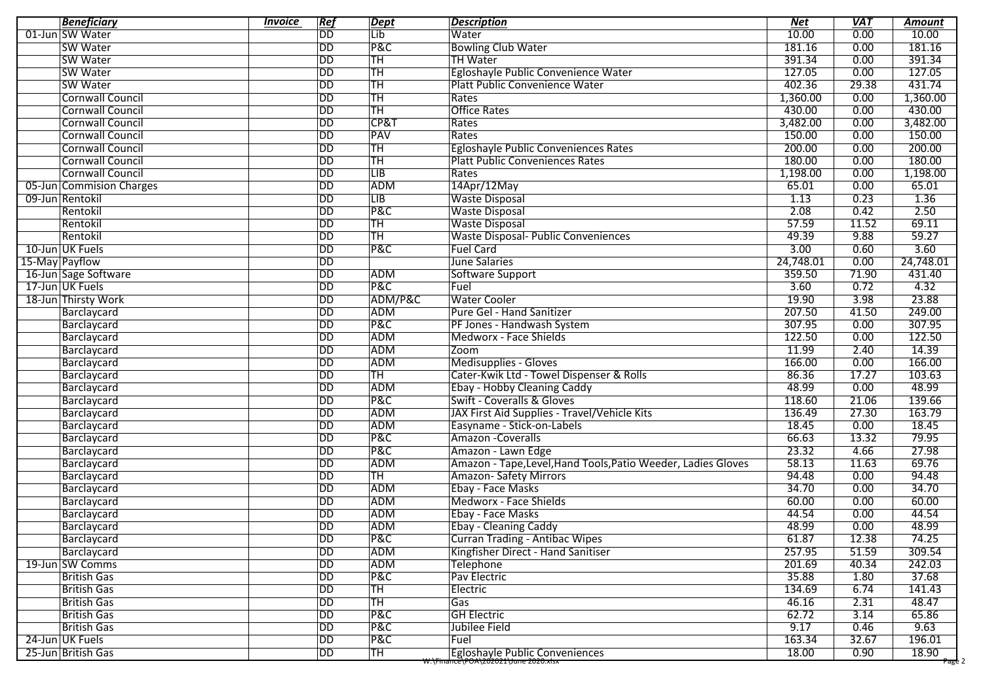| <b>Beneficiary</b>                    | <b>Invoice</b> | Ref                      | <b>Dept</b>            | <b>Description</b>                                            | <b>Net</b>      | <b>VAT</b>    | <b>Amount</b>   |
|---------------------------------------|----------------|--------------------------|------------------------|---------------------------------------------------------------|-----------------|---------------|-----------------|
| 01-Jun SW Water                       |                | <b>DD</b>                | Lib                    | Water                                                         | 10.00           | 0.00          | 10.00           |
| <b>SW Water</b>                       |                | $\overline{DD}$          | <b>P&amp;C</b>         | <b>Bowling Club Water</b>                                     | 181.16          | 0.00          | 181.16          |
| <b>SW Water</b>                       |                | $\overline{\mathsf{DD}}$ | <b>TH</b>              | <b>TH Water</b>                                               | 391.34          | 0.00          | 391.34          |
| <b>SW Water</b>                       |                | DD                       | <b>TH</b>              | Egloshayle Public Convenience Water                           | 127.05          | 0.00          | 127.05          |
| <b>SW Water</b>                       |                | DD                       | <b>TH</b>              | Platt Public Convenience Water                                | 402.36          | 29.38         | 431.74          |
| <b>Cornwall Council</b>               |                | <b>DD</b>                | TH                     | Rates                                                         | 1,360.00        | 0.00          | 1,360.00        |
| <b>Cornwall Council</b>               |                | $\overline{DD}$          | TH                     | <b>Office Rates</b>                                           | 430.00          | 0.00          | 430.00          |
| <b>Cornwall Council</b>               |                | DD                       | CP&T                   | Rates                                                         | 3,482.00        | 0.00          | 3,482.00        |
| <b>Cornwall Council</b>               |                | $\overline{DD}$          | PAV                    | Rates                                                         | 150.00          | 0.00          | 150.00          |
| <b>Cornwall Council</b>               |                | DD                       | <b>TH</b>              | Egloshayle Public Conveniences Rates                          | 200.00          | 0.00          | 200.00          |
| <b>Cornwall Council</b>               |                | <b>DD</b>                | <b>TH</b>              | <b>Platt Public Conveniences Rates</b>                        | 180.00          | 0.00          | 180.00          |
| <b>Cornwall Council</b>               |                | $\overline{\mathsf{DD}}$ | $\overline{LB}$        | Rates                                                         | 1,198.00        | 0.00          | 1,198.00        |
| 05-Jun Commision Charges              |                | $\overline{DD}$          | ADM                    | 14Apr/12May                                                   | 65.01           | 0.00          | 65.01           |
| 09-Jun Rentokil                       |                | $\overline{DD}$          | LIB                    | <b>Waste Disposal</b>                                         | 1.13            | 0.23          | 1.36            |
| Rentokil                              |                | $\overline{\texttt{DD}}$ | <b>P&amp;C</b>         | <b>Waste Disposal</b>                                         | 2.08            | 0.42          | 2.50            |
| Rentokil                              |                | <b>DD</b>                | <b>TH</b>              | <b>Waste Disposal</b>                                         | 57.59           | 11.52         | 69.11           |
| Rentokil                              |                | $\overline{\mathsf{DD}}$ | TH                     | <b>Waste Disposal- Public Conveniences</b>                    | 49.39           | 9.88          | 59.27           |
| 10-Jun UK Fuels                       |                | $\overline{\mathsf{DD}}$ | <b>P&amp;C</b>         | <b>Fuel Card</b>                                              | 3.00            | 0.60          | 3.60            |
| 15-May Payflow                        |                | <b>DD</b>                |                        | June Salaries                                                 | 24,748.01       | 0.00          | 24,748.01       |
| 16-Jun Sage Software                  |                | $\overline{\text{DD}}$   | <b>ADM</b>             | Software Support                                              | 359.50          | 71.90         | 431.40          |
| 17-Jun UK Fuels                       |                | DD                       | P&C                    | Fuel                                                          | 3.60            | 0.72          | 4.32            |
| 18-Jun Thirsty Work                   |                | DD                       | ADM/P&C                | <b>Water Cooler</b>                                           | 19.90           | 3.98          | 23.88           |
| Barclaycard                           |                | DD                       | ADM                    | Pure Gel - Hand Sanitizer                                     | 207.50          | 41.50         | 249.00          |
| Barclaycard                           |                | <b>DD</b>                | <b>P&amp;C</b>         | PF Jones - Handwash System                                    | 307.95          | 0.00          | 307.95          |
| Barclaycard                           |                | $\overline{\mathsf{DD}}$ | <b>ADM</b>             | <b>Medworx - Face Shields</b>                                 | 122.50          | 0.00          | 122.50          |
| Barclaycard                           |                | $\overline{\texttt{DD}}$ | ADM                    | Zoom                                                          | 11.99           | 2.40          | 14.39           |
| Barclaycard                           |                | DD                       | ADM                    | Medisupplies - Gloves                                         | 166.00          | 0.00          | 166.00          |
| Barclaycard                           |                | DD                       | <b>TH</b>              | Cater-Kwik Ltd - Towel Dispenser & Rolls                      | 86.36           | 17.27         | 103.63          |
| Barclaycard                           |                | $\overline{\mathsf{DD}}$ | ADM                    | Ebay - Hobby Cleaning Caddy                                   | 48.99           | 0.00          | 48.99           |
| Barclaycard                           |                | $\overline{DD}$          | <b>P&amp;C</b>         | <b>Swift - Coveralls &amp; Gloves</b>                         | 118.60          | 21.06         | 139.66          |
| Barclaycard                           |                | $\overline{\mathsf{DD}}$ | ADM                    | JAX First Aid Supplies - Travel/Vehicle Kits                  | 136.49          | 27.30         | 163.79          |
| Barclaycard                           |                | DD                       | <b>ADM</b>             | Easyname - Stick-on-Labels                                    | 18.45           | 0.00          | 18.45           |
| Barclaycard                           |                | DD                       | <b>P&amp;C</b>         | Amazon - Coveralls                                            | 66.63           | 13.32         | 79.95           |
| Barclaycard                           |                | $\overline{DD}$          | P&C                    | Amazon - Lawn Edge                                            | 23.32           | 4.66          | 27.98           |
| Barclaycard                           |                | $\overline{DD}$          | ADM                    | Amazon - Tape, Level, Hand Tools, Patio Weeder, Ladies Gloves | 58.13           | 11.63         | 69.76           |
| Barclaycard                           |                | $\overline{\mathsf{DD}}$ | <b>TH</b>              | <b>Amazon-Safety Mirrors</b>                                  | 94.48           | 0.00          | 94.48           |
| Barclaycard                           |                | $\overline{DD}$          | <b>ADM</b>             | Ebay - Face Masks                                             | 34.70           | 0.00          | 34.70           |
| Barclaycard                           |                | DD                       | ADM                    | Medworx - Face Shields                                        | 60.00           | 0.00          | 60.00           |
| Barclaycard                           |                | <b>DD</b>                | ADM                    | Ebay - Face Masks                                             | 44.54           | 0.00          | 44.54           |
| Barclaycard                           |                | $\overline{\mathsf{DD}}$ | ADM                    | <b>Ebay - Cleaning Caddy</b>                                  | 48.99           | 0.00          | 48.99           |
| Barclaycard                           |                | DD                       | P&C                    | Curran Trading - Antibac Wipes                                | 61.87           | 12.38         | 74.25           |
| Barclaycard                           |                | $\overline{DD}$          | ADM                    | Kingfisher Direct - Hand Sanitiser                            | 257.95          | 51.59         | 309.54          |
| 19-Jun SW Comms                       |                | DD                       | ADM                    | Telephone                                                     | 201.69          | 40.34         | 242.03          |
| <b>British Gas</b>                    |                | DD                       | P&C                    | Pav Electric                                                  | 35.88           | 1.80          | 37.68           |
| <b>British Gas</b>                    |                | DD                       | $\overline{\text{TH}}$ | Electric                                                      | 134.69          | 6.74          | 141.43          |
| <b>British Gas</b>                    |                | DD                       | $\overline{\text{TH}}$ | Gas                                                           | 46.16           |               |                 |
|                                       |                |                          | P&C                    | <b>GH Electric</b>                                            | 62.72           | 2.31          | 48.47           |
| <b>British Gas</b>                    |                | DD                       |                        |                                                               |                 | 3.14          | 65.86           |
| <b>British Gas</b>                    |                | DD                       | P&C                    | Jubilee Field                                                 | 9.17            | 0.46          | 9.63            |
| 24-Jun UK Fuels<br>25-Jun British Gas |                | DD<br><b>DD</b>          | P&C<br>TH              | Fuel<br><b>Egloshayle Public Conveniences</b>                 | 163.34<br>18.00 | 32.67<br>0.90 | 196.01<br>18.90 |
|                                       |                |                          |                        | w:\Finance\POA\202021\June 2020.xisx                          |                 |               | Page 2          |